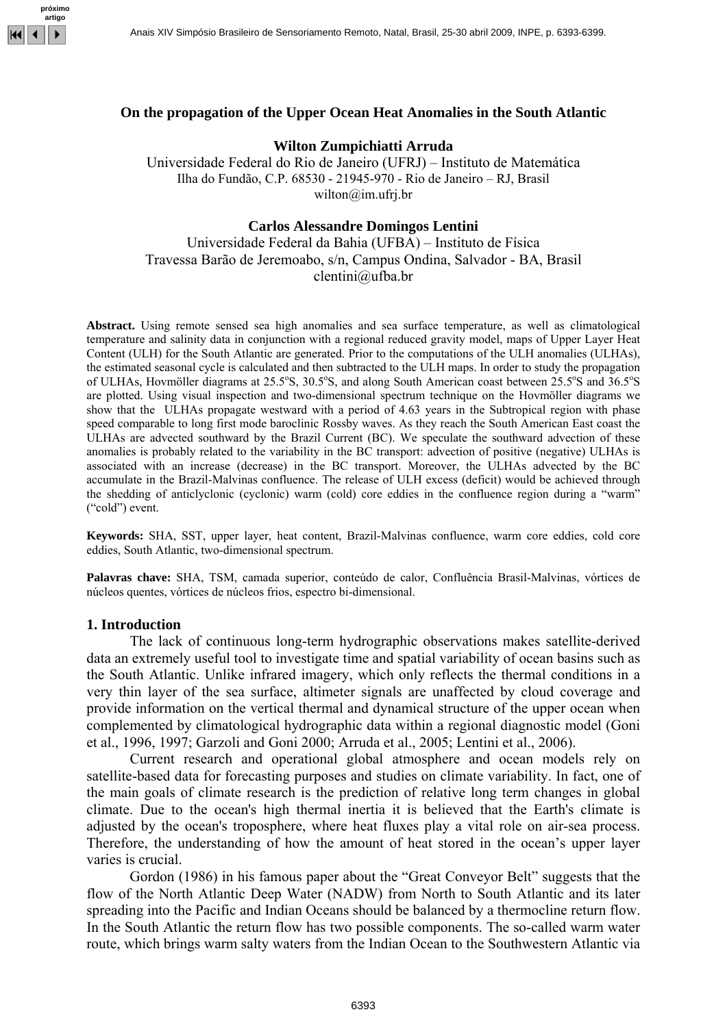

# **On the propagation of the Upper Ocean Heat Anomalies in the South Atlantic**

## **Wilton Zumpichiatti Arruda**

Universidade Federal do Rio de Janeiro (UFRJ) – Instituto de Matemática Ilha do Fundão, C.P. 68530 - 21945-970 - Rio de Janeiro – RJ, Brasil wilton@im.ufrj.br

## **Carlos Alessandre Domingos Lentini**

Universidade Federal da Bahia (UFBA) – Instituto de Física Travessa Barão de Jeremoabo, s/n, Campus Ondina, Salvador - BA, Brasil clentini@ufba.br

**Abstract.** Using remote sensed sea high anomalies and sea surface temperature, as well as climatological temperature and salinity data in conjunction with a regional reduced gravity model, maps of Upper Layer Heat Content (ULH) for the South Atlantic are generated. Prior to the computations of the ULH anomalies (ULHAs), the estimated seasonal cycle is calculated and then subtracted to the ULH maps. In order to study the propagation of ULHAs, Hovmöller diagrams at 25.5°S, 30.5°S, and along South American coast between 25.5°S and 36.5°S are plotted. Using visual inspection and two-dimensional spectrum technique on the Hovmöller diagrams we show that the ULHAs propagate westward with a period of 4.63 years in the Subtropical region with phase speed comparable to long first mode baroclinic Rossby waves. As they reach the South American East coast the ULHAs are advected southward by the Brazil Current (BC). We speculate the southward advection of these anomalies is probably related to the variability in the BC transport: advection of positive (negative) ULHAs is associated with an increase (decrease) in the BC transport. Moreover, the ULHAs advected by the BC accumulate in the Brazil-Malvinas confluence. The release of ULH excess (deficit) would be achieved through the shedding of anticlyclonic (cyclonic) warm (cold) core eddies in the confluence region during a "warm" ("cold") event.

**Keywords:** SHA, SST, upper layer, heat content, Brazil-Malvinas confluence, warm core eddies, cold core eddies, South Atlantic, two-dimensional spectrum.

**Palavras chave:** SHA, TSM, camada superior, conteúdo de calor, Confluência Brasil-Malvinas, vórtices de núcleos quentes, vórtices de núcleos frios, espectro bi-dimensional.

## **1. Introduction**

 The lack of continuous long-term hydrographic observations makes satellite-derived data an extremely useful tool to investigate time and spatial variability of ocean basins such as the South Atlantic. Unlike infrared imagery, which only reflects the thermal conditions in a very thin layer of the sea surface, altimeter signals are unaffected by cloud coverage and provide information on the vertical thermal and dynamical structure of the upper ocean when complemented by climatological hydrographic data within a regional diagnostic model (Goni et al., 1996, 1997; Garzoli and Goni 2000; Arruda et al., 2005; Lentini et al., 2006).

Current research and operational global atmosphere and ocean models rely on satellite-based data for forecasting purposes and studies on climate variability. In fact, one of the main goals of climate research is the prediction of relative long term changes in global climate. Due to the ocean's high thermal inertia it is believed that the Earth's climate is adjusted by the ocean's troposphere, where heat fluxes play a vital role on air-sea process. Therefore, the understanding of how the amount of heat stored in the ocean's upper layer varies is crucial.

Gordon (1986) in his famous paper about the "Great Conveyor Belt" suggests that the flow of the North Atlantic Deep Water (NADW) from North to South Atlantic and its later spreading into the Pacific and Indian Oceans should be balanced by a thermocline return flow. In the South Atlantic the return flow has two possible components. The so-called warm water route, which brings warm salty waters from the Indian Ocean to the Southwestern Atlantic via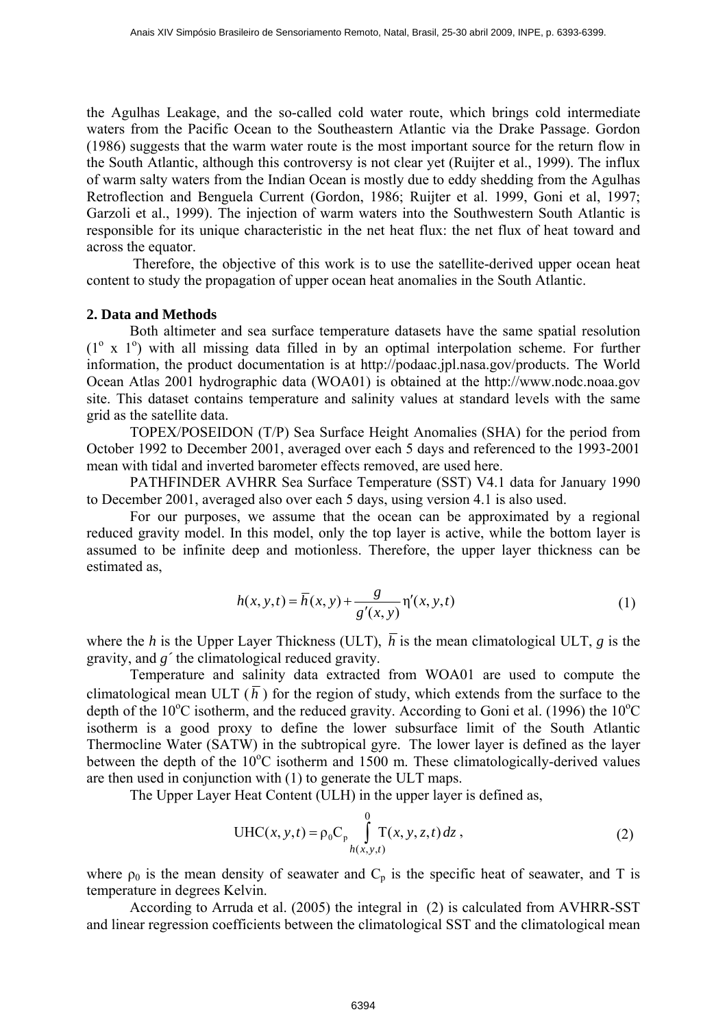the Agulhas Leakage, and the so-called cold water route, which brings cold intermediate waters from the Pacific Ocean to the Southeastern Atlantic via the Drake Passage. Gordon (1986) suggests that the warm water route is the most important source for the return flow in the South Atlantic, although this controversy is not clear yet (Ruijter et al., 1999). The influx of warm salty waters from the Indian Ocean is mostly due to eddy shedding from the Agulhas Retroflection and Benguela Current (Gordon, 1986; Ruijter et al. 1999, Goni et al, 1997; Garzoli et al., 1999). The injection of warm waters into the Southwestern South Atlantic is responsible for its unique characteristic in the net heat flux: the net flux of heat toward and across the equator.

 Therefore, the objective of this work is to use the satellite-derived upper ocean heat content to study the propagation of upper ocean heat anomalies in the South Atlantic.

# **2. Data and Methods**

Both altimeter and sea surface temperature datasets have the same spatial resolution  $(1^{\circ}$  x  $1^{\circ})$  with all missing data filled in by an optimal interpolation scheme. For further information, the product documentation is at http://podaac.jpl.nasa.gov/products. The World Ocean Atlas 2001 hydrographic data (WOA01) is obtained at the http://www.nodc.noaa.gov site. This dataset contains temperature and salinity values at standard levels with the same grid as the satellite data.

 TOPEX/POSEIDON (T/P) Sea Surface Height Anomalies (SHA) for the period from October 1992 to December 2001, averaged over each 5 days and referenced to the 1993-2001 mean with tidal and inverted barometer effects removed, are used here.

 PATHFINDER AVHRR Sea Surface Temperature (SST) V4.1 data for January 1990 to December 2001, averaged also over each 5 days, using version 4.1 is also used.

 For our purposes, we assume that the ocean can be approximated by a regional reduced gravity model. In this model, only the top layer is active, while the bottom layer is assumed to be infinite deep and motionless. Therefore, the upper layer thickness can be estimated as,

$$
h(x, y, t) = \overline{h}(x, y) + \frac{g}{g'(x, y)} \eta'(x, y, t)
$$
 (1)

where the *h* is the Upper Layer Thickness (ULT),  $\overline{h}$  is the mean climatological ULT, *g* is the gravity, and *g´* the climatological reduced gravity.

Temperature and salinity data extracted from WOA01 are used to compute the climatological mean ULT  $(\bar{h})$  for the region of study, which extends from the surface to the depth of the  $10^{\circ}$ C isotherm, and the reduced gravity. According to Goni et al. (1996) the  $10^{\circ}$ C isotherm is a good proxy to define the lower subsurface limit of the South Atlantic Thermocline Water (SATW) in the subtropical gyre. The lower layer is defined as the layer between the depth of the  $10^{\circ}$ C isotherm and 1500 m. These climatologically-derived values are then used in conjunction with (1) to generate the ULT maps.

The Upper Layer Heat Content (ULH) in the upper layer is defined as,

$$
UHC(x, y, t) = \rho_0 C_p \int_{h(x, y, t)}^{0} T(x, y, z, t) dz,
$$
 (2)

where  $\rho_0$  is the mean density of seawater and  $C_p$  is the specific heat of seawater, and T is temperature in degrees Kelvin.

According to Arruda et al. (2005) the integral in (2) is calculated from AVHRR-SST and linear regression coefficients between the climatological SST and the climatological mean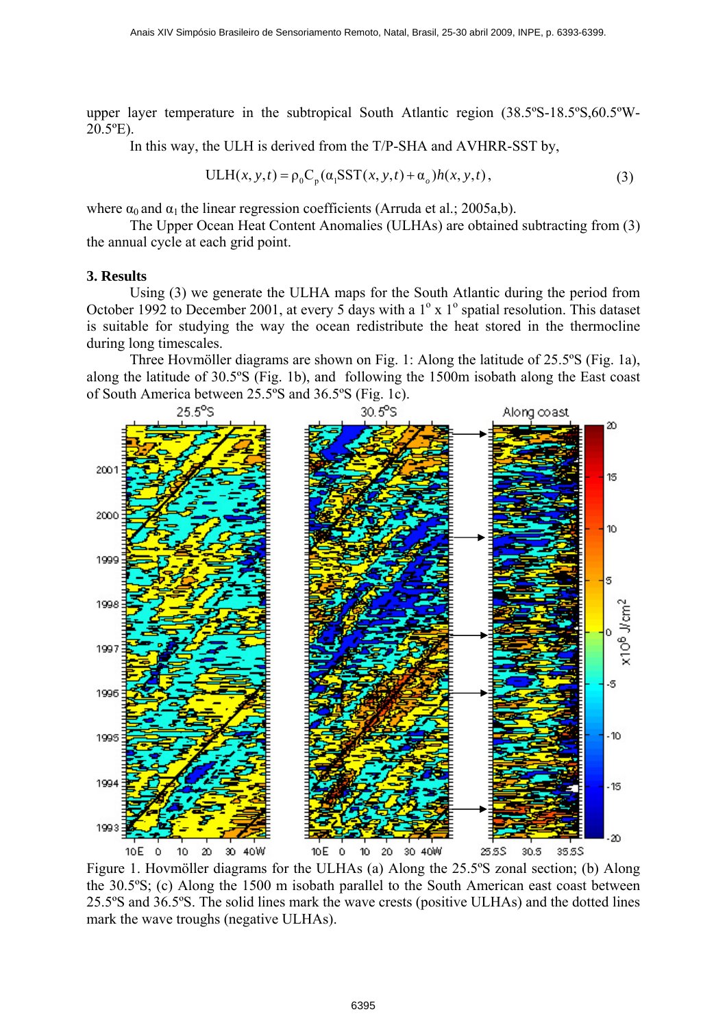upper layer temperature in the subtropical South Atlantic region (38.5ºS-18.5ºS,60.5ºW-20.5ºE).

In this way, the ULH is derived from the T/P-SHA and AVHRR-SST by,

$$
ULH(x, y, t) = \rho_0 C_p(\alpha_1 \text{SST}(x, y, t) + \alpha_o) h(x, y, t),
$$
\n(3)

where  $\alpha_0$  and  $\alpha_1$  the linear regression coefficients (Arruda et al.; 2005a,b).

The Upper Ocean Heat Content Anomalies (ULHAs) are obtained subtracting from (3) the annual cycle at each grid point.

## **3. Results**

Using (3) we generate the ULHA maps for the South Atlantic during the period from October 1992 to December 2001, at every 5 days with a  $1^\circ$  x  $1^\circ$  spatial resolution. This dataset is suitable for studying the way the ocean redistribute the heat stored in the thermocline during long timescales.

Three Hovmöller diagrams are shown on Fig. 1: Along the latitude of 25.5ºS (Fig. 1a), along the latitude of 30.5ºS (Fig. 1b), and following the 1500m isobath along the East coast of South America between 25.5ºS and 36.5ºS (Fig. 1c).



Figure 1. Hovmöller diagrams for the ULHAs (a) Along the 25.5ºS zonal section; (b) Along the 30.5ºS; (c) Along the 1500 m isobath parallel to the South American east coast between 25.5ºS and 36.5ºS. The solid lines mark the wave crests (positive ULHAs) and the dotted lines mark the wave troughs (negative ULHAs).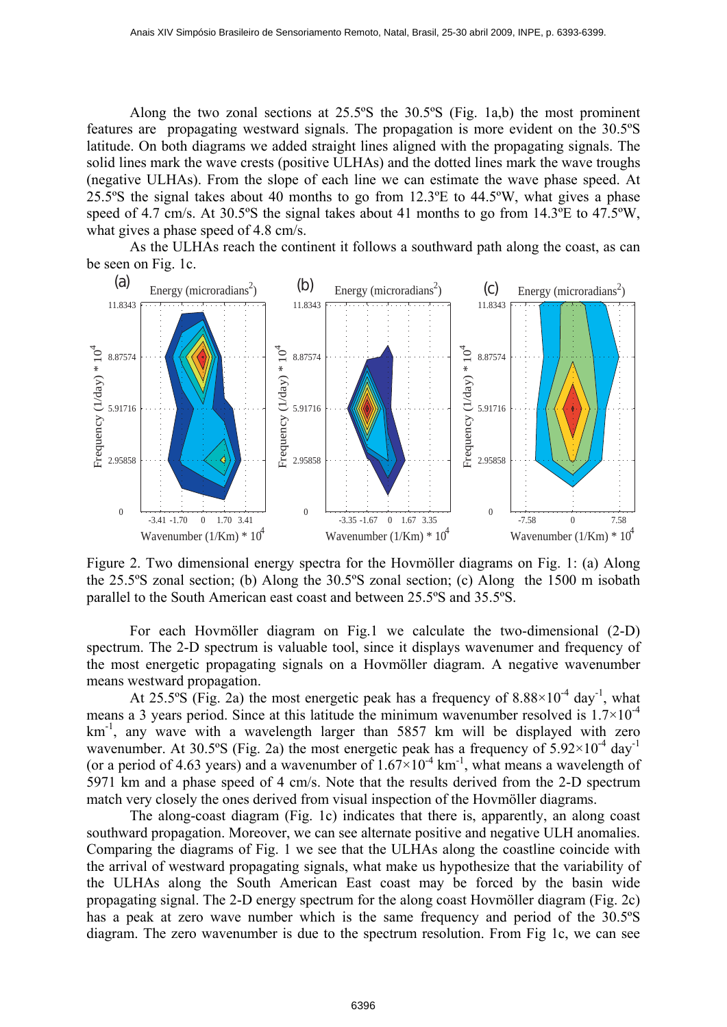Along the two zonal sections at 25.5ºS the 30.5ºS (Fig. 1a,b) the most prominent features are propagating westward signals. The propagation is more evident on the 30.5ºS latitude. On both diagrams we added straight lines aligned with the propagating signals. The solid lines mark the wave crests (positive ULHAs) and the dotted lines mark the wave troughs (negative ULHAs). From the slope of each line we can estimate the wave phase speed. At 25.5ºS the signal takes about 40 months to go from 12.3ºE to 44.5ºW, what gives a phase speed of 4.7 cm/s. At 30.5ºS the signal takes about 41 months to go from 14.3ºE to 47.5ºW, what gives a phase speed of 4.8 cm/s.

As the ULHAs reach the continent it follows a southward path along the coast, as can be seen on Fig. 1c.



Figure 2. Two dimensional energy spectra for the Hovmöller diagrams on Fig. 1: (a) Along the 25.5ºS zonal section; (b) Along the 30.5ºS zonal section; (c) Along the 1500 m isobath parallel to the South American east coast and between 25.5ºS and 35.5ºS.

For each Hovmöller diagram on Fig.1 we calculate the two-dimensional (2-D) spectrum. The 2-D spectrum is valuable tool, since it displays wavenumer and frequency of the most energetic propagating signals on a Hovmöller diagram. A negative wavenumber means westward propagation.

At 25.5°S (Fig. 2a) the most energetic peak has a frequency of  $8.88 \times 10^{-4}$  day<sup>-1</sup>, what means a 3 years period. Since at this latitude the minimum wavenumber resolved is  $1.7 \times 10^{-4}$  $km<sup>-1</sup>$ , any wave with a wavelength larger than 5857 km will be displayed with zero wavenumber. At 30.5°S (Fig. 2a) the most energetic peak has a frequency of  $5.92 \times 10^{-4}$  day<sup>-1</sup> (or a period of 4.63 years) and a wavenumber of  $1.67 \times 10^{-4}$  km<sup>-1</sup>, what means a wavelength of 5971 km and a phase speed of 4 cm/s. Note that the results derived from the 2-D spectrum match very closely the ones derived from visual inspection of the Hovmöller diagrams.

The along-coast diagram (Fig. 1c) indicates that there is, apparently, an along coast southward propagation. Moreover, we can see alternate positive and negative ULH anomalies. Comparing the diagrams of Fig. 1 we see that the ULHAs along the coastline coincide with the arrival of westward propagating signals, what make us hypothesize that the variability of the ULHAs along the South American East coast may be forced by the basin wide propagating signal. The 2-D energy spectrum for the along coast Hovmöller diagram (Fig. 2c) has a peak at zero wave number which is the same frequency and period of the 30.5ºS diagram. The zero wavenumber is due to the spectrum resolution. From Fig 1c, we can see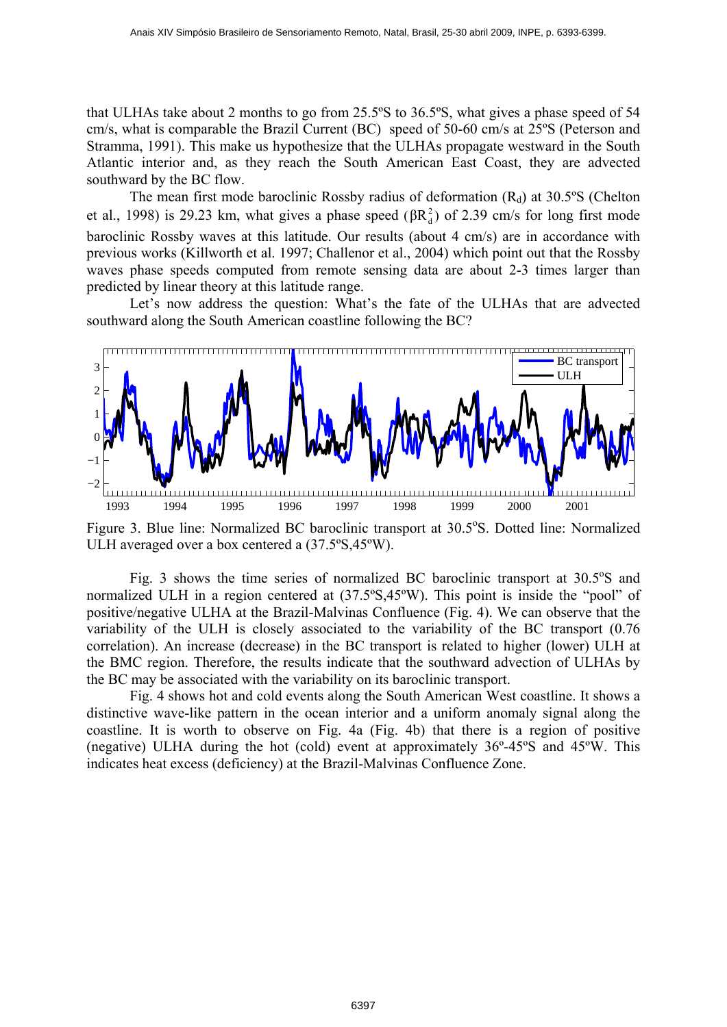that ULHAs take about 2 months to go from 25.5ºS to 36.5ºS, what gives a phase speed of 54 cm/s, what is comparable the Brazil Current (BC) speed of 50-60 cm/s at 25ºS (Peterson and Stramma, 1991). This make us hypothesize that the ULHAs propagate westward in the South Atlantic interior and, as they reach the South American East Coast, they are advected southward by the BC flow.

The mean first mode baroclinic Rossby radius of deformation  $(R_d)$  at 30.5°S (Chelton et al., 1998) is 29.23 km, what gives a phase speed ( $\beta R_d^2$ ) of 2.39 cm/s for long first mode baroclinic Rossby waves at this latitude. Our results (about 4 cm/s) are in accordance with previous works (Killworth et al. 1997; Challenor et al., 2004) which point out that the Rossby waves phase speeds computed from remote sensing data are about 2-3 times larger than predicted by linear theory at this latitude range.

Let's now address the question: What's the fate of the ULHAs that are advected southward along the South American coastline following the BC?



Figure 3. Blue line: Normalized BC baroclinic transport at 30.5°S. Dotted line: Normalized ULH averaged over a box centered a (37.5ºS,45ºW).

Fig. 3 shows the time series of normalized BC baroclinic transport at  $30.5^{\circ}$ S and normalized ULH in a region centered at (37.5ºS,45ºW). This point is inside the "pool" of positive/negative ULHA at the Brazil-Malvinas Confluence (Fig. 4). We can observe that the variability of the ULH is closely associated to the variability of the BC transport (0.76 correlation). An increase (decrease) in the BC transport is related to higher (lower) ULH at the BMC region. Therefore, the results indicate that the southward advection of ULHAs by the BC may be associated with the variability on its baroclinic transport.

Fig. 4 shows hot and cold events along the South American West coastline. It shows a distinctive wave-like pattern in the ocean interior and a uniform anomaly signal along the coastline. It is worth to observe on Fig. 4a (Fig. 4b) that there is a region of positive (negative) ULHA during the hot (cold) event at approximately 36º-45ºS and 45ºW. This indicates heat excess (deficiency) at the Brazil-Malvinas Confluence Zone.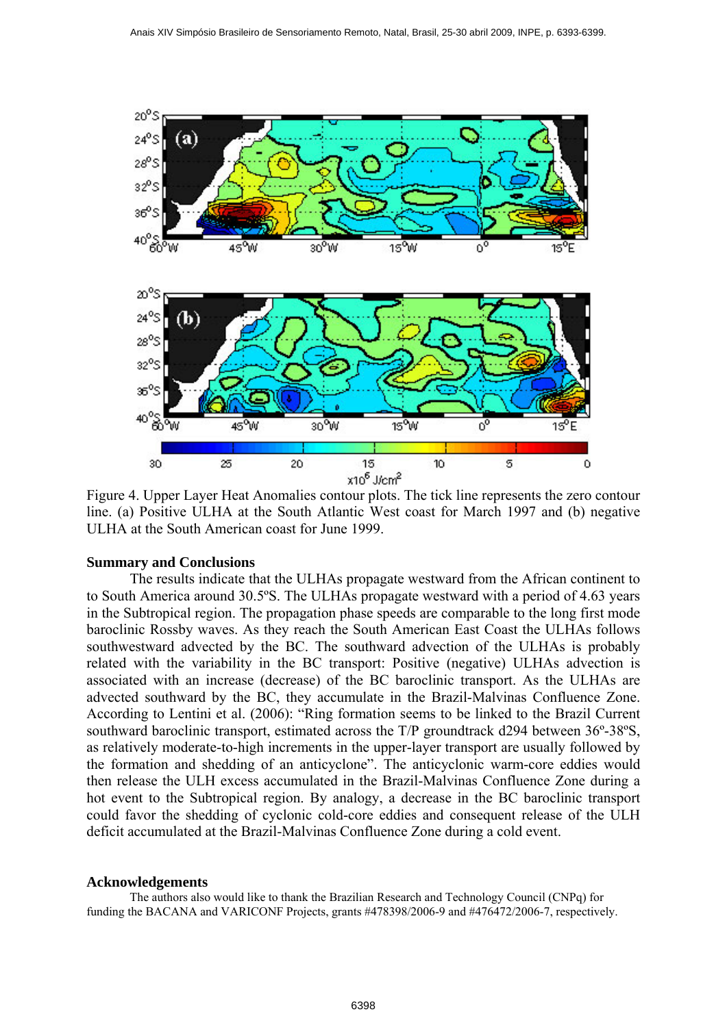

Figure 4. Upper Layer Heat Anomalies contour plots. The tick line represents the zero contour line. (a) Positive ULHA at the South Atlantic West coast for March 1997 and (b) negative ULHA at the South American coast for June 1999.

### **Summary and Conclusions**

The results indicate that the ULHAs propagate westward from the African continent to to South America around 30.5ºS. The ULHAs propagate westward with a period of 4.63 years in the Subtropical region. The propagation phase speeds are comparable to the long first mode baroclinic Rossby waves. As they reach the South American East Coast the ULHAs follows southwestward advected by the BC. The southward advection of the ULHAs is probably related with the variability in the BC transport: Positive (negative) ULHAs advection is associated with an increase (decrease) of the BC baroclinic transport. As the ULHAs are advected southward by the BC, they accumulate in the Brazil-Malvinas Confluence Zone. According to Lentini et al. (2006): "Ring formation seems to be linked to the Brazil Current southward baroclinic transport, estimated across the T/P groundtrack d294 between 36º-38ºS, as relatively moderate-to-high increments in the upper-layer transport are usually followed by the formation and shedding of an anticyclone". The anticyclonic warm-core eddies would then release the ULH excess accumulated in the Brazil-Malvinas Confluence Zone during a hot event to the Subtropical region. By analogy, a decrease in the BC baroclinic transport could favor the shedding of cyclonic cold-core eddies and consequent release of the ULH deficit accumulated at the Brazil-Malvinas Confluence Zone during a cold event.

#### **Acknowledgements**

The authors also would like to thank the Brazilian Research and Technology Council (CNPq) for funding the BACANA and VARICONF Projects, grants #478398/2006-9 and #476472/2006-7, respectively.